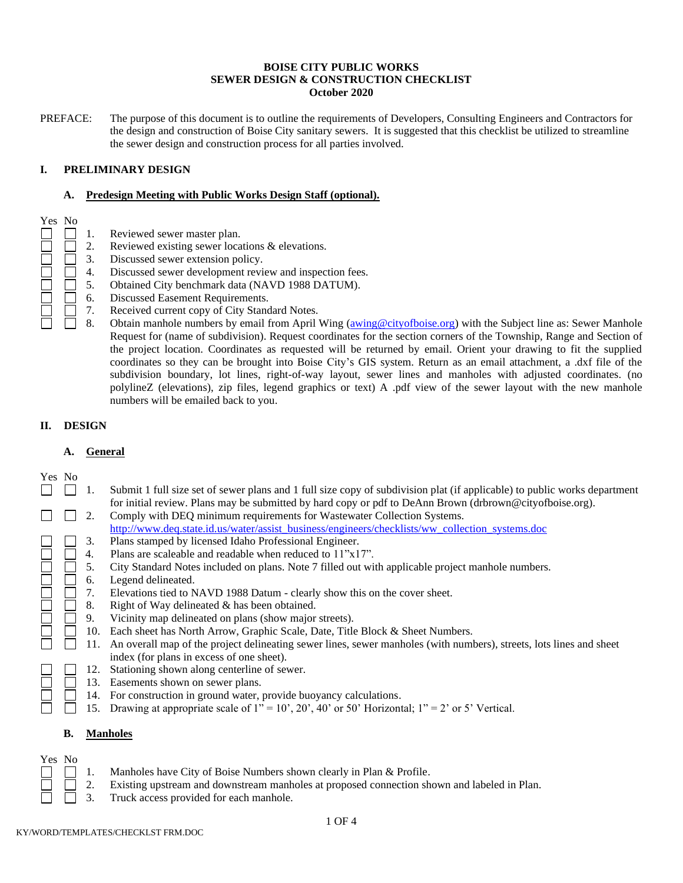#### **BOISE CITY PUBLIC WORKS SEWER DESIGN & CONSTRUCTION CHECKLIST October 2020**

PREFACE: The purpose of this document is to outline the requirements of Developers, Consulting Engineers and Contractors for the design and construction of Boise City sanitary sewers. It is suggested that this checklist be utilized to streamline the sewer design and construction process for all parties involved.

### **I. PRELIMINARY DESIGN**

#### **A. Predesign Meeting with Public Works Design Staff (optional).**

- Yes No  $\Box$ 
	- 1. Reviewed sewer master plan.
	- 2. Reviewed existing sewer locations & elevations.
	- 3. Discussed sewer extension policy.
		- 4. Discussed sewer development review and inspection fees.
	- 5. Obtained City benchmark data (NAVD 1988 DATUM).
	- 6. Discussed Easement Requirements.
	- 7. Received current copy of City Standard Notes.
		- 8. Obtain manhole numbers by email from April Wing [\(awing@cityofboise.org\)](mailto:awing@cityofboise.org) with the Subject line as: Sewer Manhole Request for (name of subdivision). Request coordinates for the section corners of the Township, Range and Section of the project location. Coordinates as requested will be returned by email. Orient your drawing to fit the supplied coordinates so they can be brought into Boise City's GIS system. Return as an email attachment, a .dxf file of the subdivision boundary, lot lines, right-of-way layout, sewer lines and manholes with adjusted coordinates. (no polylineZ (elevations), zip files, legend graphics or text) A .pdf view of the sewer layout with the new manhole numbers will be emailed back to you.

## **II. DESIGN**

#### **A. General**

- Yes No
- П  $\Box$ 1. Submit 1 full size set of sewer plans and 1 full size copy of subdivision plat (if applicable) to public works department for initial review. Plans may be submitted by hard copy or pdf to DeAnn Brown (drbrown@cityofboise.org).
	- П 2. Comply with DEQ minimum requirements for Wastewater Collection Systems.
		- [http://www.deq.state.id.us/water/assist\\_business/engineers/checklists/ww\\_collection\\_systems.doc](http://www.deq.state.id.us/water/assist_business/engineers/checklists/ww_collection_systems.doc)
	- 3. Plans stamped by licensed Idaho Professional Engineer.
	- $\Box$ 4. Plans are scaleable and readable when reduced to 11"x17".
	- 5. City Standard Notes included on plans. Note 7 filled out with applicable project manhole numbers.
	- 6. Legend delineated.
	- 7. Elevations tied to NAVD 1988 Datum clearly show this on the cover sheet.
	- 8. Right of Way delineated & has been obtained.
		- 9. Vicinity map delineated on plans (show major streets).
	- $\Box$ 10. Each sheet has North Arrow, Graphic Scale, Date, Title Block & Sheet Numbers.
	- $\Box$ 11. An overall map of the project delineating sewer lines, sewer manholes (with numbers), streets, lots lines and sheet index (for plans in excess of one sheet).
	- 12. Stationing shown along centerline of sewer.
	- 13. Easements shown on sewer plans.
		- 14. For construction in ground water, provide buoyancy calculations.
		- 15. Drawing at appropriate scale of 1" = 10', 20', 40' or 50' Horizontal; 1" = 2' or 5' Vertical.  $\mathbf{I}$

## **B. Manholes**

Yes No

- $\Box$ 1. Manholes have City of Boise Numbers shown clearly in Plan & Profile.
	- 2. Existing upstream and downstream manholes at proposed connection shown and labeled in Plan.
	- 3. Truck access provided for each manhole.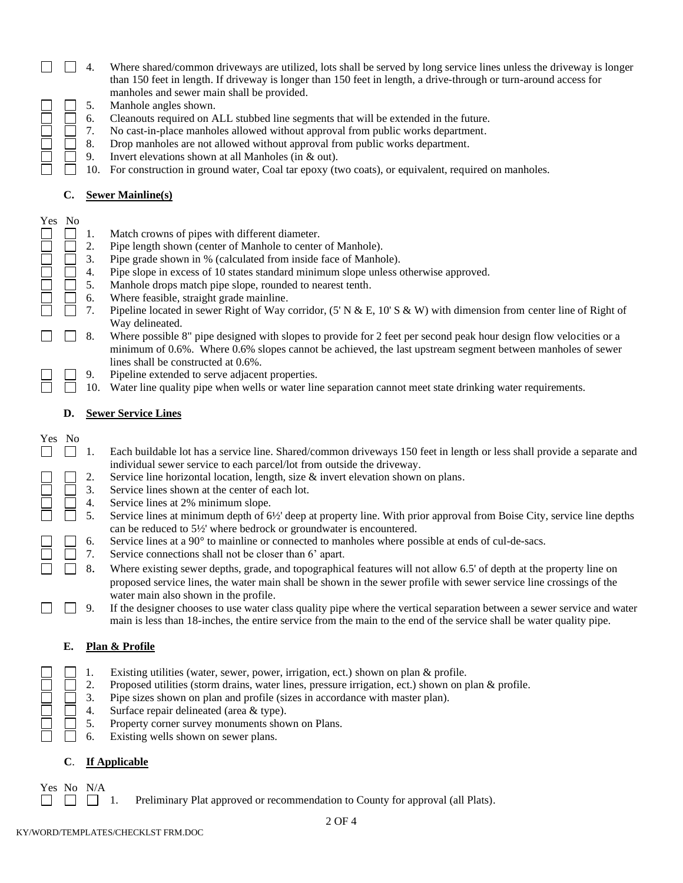- $\Box$  4. Where shared/common driveways are utilized, lots shall be served by long service lines unless the driveway is longer than 150 feet in length. If driveway is longer than 150 feet in length, a drive-through or turn-around access for manholes and sewer main shall be provided.
- 5. Manhole angles shown.
	- 6. Cleanouts required on ALL stubbed line segments that will be extended in the future.
	- 7. No cast-in-place manholes allowed without approval from public works department.
	- 8. Drop manholes are not allowed without approval from public works department.
	- 9. Invert elevations shown at all Manholes (in & out).
		- 10. For construction in ground water, Coal tar epoxy (two coats), or equivalent, required on manholes.

## **C. Sewer Mainline(s)**

- Yes No  $\Box$ 1. Match crowns of pipes with different diameter.
	- 2. Pipe length shown (center of Manhole to center of Manhole).
	- 3. Pipe grade shown in % (calculated from inside face of Manhole).
		- 4. Pipe slope in excess of 10 states standard minimum slope unless otherwise approved.
		- 5. Manhole drops match pipe slope, rounded to nearest tenth.
		- 6. Where feasible, straight grade mainline.
	- 7. Pipeline located in sewer Right of Way corridor, (5' N & E, 10' S & W) with dimension from center line of Right of Way delineated.
	- 8. Where possible 8" pipe designed with slopes to provide for 2 feet per second peak hour design flow velocities or a  $\Box$ minimum of 0.6%. Where 0.6% slopes cannot be achieved, the last upstream segment between manholes of sewer lines shall be constructed at 0.6%.
	- 9. Pipeline extended to serve adjacent properties.
	- 10. Water line quality pipe when wells or water line separation cannot meet state drinking water requirements.

## **D. Sewer Service Lines**

- Yes No
	- $\Box$ 1. Each buildable lot has a service line. Shared/common driveways 150 feet in length or less shall provide a separate and individual sewer service to each parcel/lot from outside the driveway.
		- 2. Service line horizontal location, length, size & invert elevation shown on plans.
	- 3. Service lines shown at the center of each lot.
	- 4. Service lines at 2% minimum slope.
		- 5. Service lines at minimum depth of 6½' deep at property line. With prior approval from Boise City, service line depths can be reduced to 5½' where bedrock or groundwater is encountered.
		- 6. Service lines at a 90° to mainline or connected to manholes where possible at ends of cul-de-sacs.
	- 7. Service connections shall not be closer than 6' apart.  $\perp$
	- $\Box$ 8. Where existing sewer depths, grade, and topographical features will not allow 6.5' of depth at the property line on proposed service lines, the water main shall be shown in the sewer profile with sewer service line crossings of the water main also shown in the profile.
	- $\Box$ 9. If the designer chooses to use water class quality pipe where the vertical separation between a sewer service and water main is less than 18-inches, the entire service from the main to the end of the service shall be water quality pipe.

## **E. Plan & Profile**

- 1. Existing utilities (water, sewer, power, irrigation, ect.) shown on plan & profile.
- 2. Proposed utilities (storm drains, water lines, pressure irrigation, ect.) shown on plan & profile.
- 3. Pipe sizes shown on plan and profile (sizes in accordance with master plan).
- П 4. Surface repair delineated (area & type).
	- 5. Property corner survey monuments shown on Plans.
	- 6. Existing wells shown on sewer plans.

## **C**. **If Applicable**

Yes No N/A

1. Preliminary Plat approved or recommendation to County for approval (all Plats).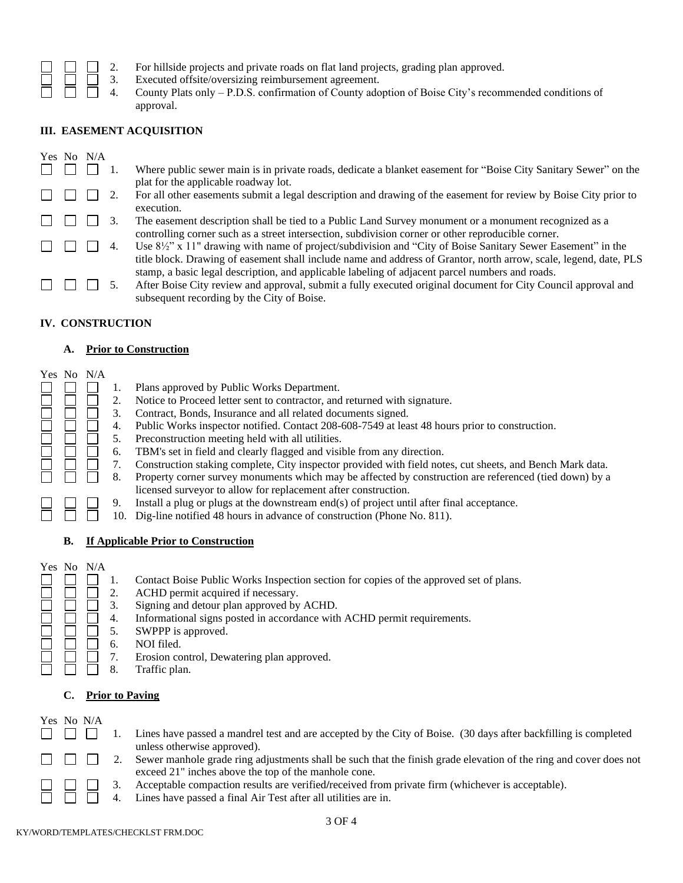| $\Box$ 2. |  |  | For hillside projects and private roads on flat land projects, grading plan approved. |  |
|-----------|--|--|---------------------------------------------------------------------------------------|--|
|           |  |  |                                                                                       |  |

- 3. Executed offsite/oversizing reimbursement agreement.
- 4. County Plats only P.D.S. confirmation of County adoption of Boise City's recommended conditions of approval.

## **III. EASEMENT ACQUISITION**

|  | Yes No N/A |                                                                                                                                                                                                                                                                |
|--|------------|----------------------------------------------------------------------------------------------------------------------------------------------------------------------------------------------------------------------------------------------------------------|
|  |            | Where public sewer main is in private roads, dedicate a blanket easement for "Boise City Sanitary Sewer" on the<br>plat for the applicable roadway lot.                                                                                                        |
|  |            | For all other easements submit a legal description and drawing of the easement for review by Boise City prior to<br>execution.                                                                                                                                 |
|  |            | The easement description shall be tied to a Public Land Survey monument or a monument recognized as a<br>controlling corner such as a street intersection, subdivision corner or other reproducible corner.                                                    |
|  |            | Use $8\frac{1}{2}$ " x 11" drawing with name of project/subdivision and "City of Boise Sanitary Sewer Easement" in the<br>title block. Drawing of easement shall include name and address of Grantor, north arrow, scale, legend, date, PLS                    |
|  |            | stamp, a basic legal description, and applicable labeling of adjacent parcel numbers and roads.<br>After Boise City review and approval, submit a fully executed original document for City Council approval and<br>subsequent recording by the City of Boise. |

## **IV. CONSTRUCTION**

### **A. Prior to Construction**

|    | Yes No N/A                          | 2.<br>3.<br>4.<br>5.<br>6.<br>7.<br>8.<br>9.<br>10. | Plans approved by Public Works Department.<br>Notice to Proceed letter sent to contractor, and returned with signature.<br>Contract, Bonds, Insurance and all related documents signed.<br>Public Works inspector notified. Contact 208-608-7549 at least 48 hours prior to construction.<br>Preconstruction meeting held with all utilities.<br>TBM's set in field and clearly flagged and visible from any direction.<br>Construction staking complete, City inspector provided with field notes, cut sheets, and Bench Mark data.<br>Property corner survey monuments which may be affected by construction are referenced (tied down) by a<br>licensed surveyor to allow for replacement after construction.<br>Install a plug or plugs at the downstream end(s) of project until after final acceptance.<br>Dig-line notified 48 hours in advance of construction (Phone No. 811). |  |
|----|-------------------------------------|-----------------------------------------------------|-----------------------------------------------------------------------------------------------------------------------------------------------------------------------------------------------------------------------------------------------------------------------------------------------------------------------------------------------------------------------------------------------------------------------------------------------------------------------------------------------------------------------------------------------------------------------------------------------------------------------------------------------------------------------------------------------------------------------------------------------------------------------------------------------------------------------------------------------------------------------------------------|--|
| В. | If Applicable Prior to Construction |                                                     |                                                                                                                                                                                                                                                                                                                                                                                                                                                                                                                                                                                                                                                                                                                                                                                                                                                                                         |  |
|    | Yes No N/A                          |                                                     |                                                                                                                                                                                                                                                                                                                                                                                                                                                                                                                                                                                                                                                                                                                                                                                                                                                                                         |  |

|            | 2.<br>3.<br>4. | Contact Boise Public Works Inspection section for copies of the approved set of plans.<br>ACHD permit acquired if necessary.<br>Signing and detour plan approved by ACHD.<br>Informational signs posted in accordance with ACHD permit requirements. |
|------------|----------------|------------------------------------------------------------------------------------------------------------------------------------------------------------------------------------------------------------------------------------------------------|
|            | 5.             | SWPPP is approved.                                                                                                                                                                                                                                   |
|            | 6.             | NOI filed.                                                                                                                                                                                                                                           |
|            | 7.             | Erosion control, Dewatering plan approved.                                                                                                                                                                                                           |
|            | 8.             | Traffic plan.                                                                                                                                                                                                                                        |
| C.         |                | <b>Prior to Paving</b>                                                                                                                                                                                                                               |
| Yes No N/A |                |                                                                                                                                                                                                                                                      |
|            |                | Lines have passed a mandrel test and are accepted by the City of Boise. (30 days after backfilling is completed<br>unless otherwise approved).                                                                                                       |
|            |                | Sewer manhole grade ring adjustments shall be such that the finish grade elevation of the ring and cover does not<br>exceed 21" inches above the top of the manhole cone.                                                                            |
|            |                |                                                                                                                                                                                                                                                      |

4. Lines have passed a final Air Test after all utilities are in.